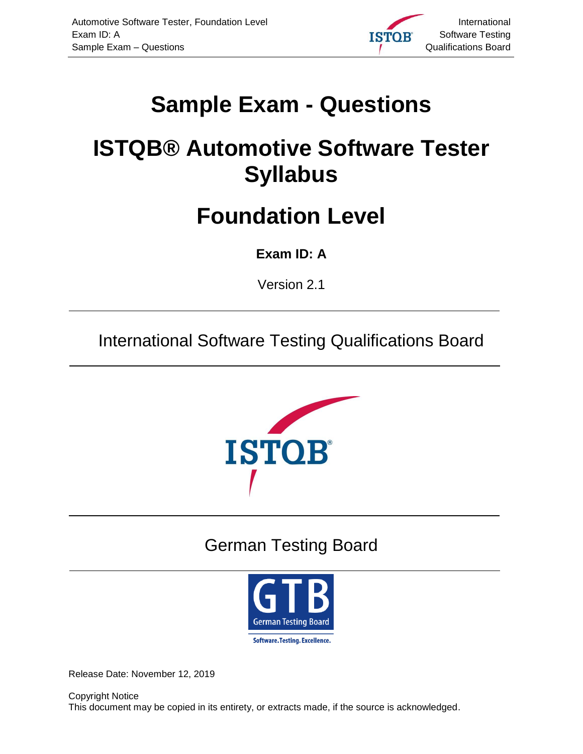

# <span id="page-0-0"></span>**Sample Exam - Questions**

# <span id="page-0-1"></span>**ISTQB® Automotive Software Tester Syllabus**

# **Foundation Level**

# <span id="page-0-2"></span>**Exam ID: A**

<span id="page-0-3"></span>Version 2.1

International Software Testing Qualifications Board



# German Testing Board



<span id="page-0-4"></span>Release Date: November 12, 2019

Copyright Notice This document may be copied in its entirety, or extracts made, if the source is acknowledged.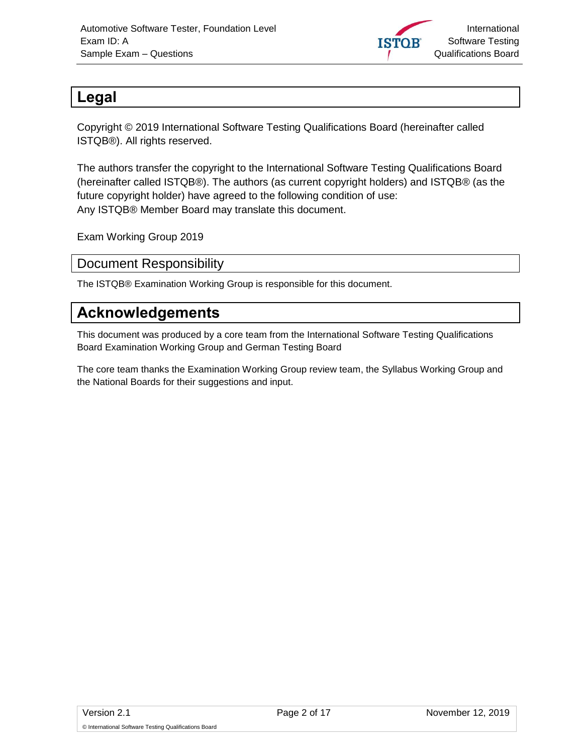

# <span id="page-1-0"></span>**Legal**

Copyright © 2019 International Software Testing Qualifications Board (hereinafter called ISTQB®). All rights reserved.

The authors transfer the copyright to the International Software Testing Qualifications Board (hereinafter called ISTQB®). The authors (as current copyright holders) and ISTQB® (as the future copyright holder) have agreed to the following condition of use: Any ISTQB® Member Board may translate this document.

Exam Working Group 2019

#### <span id="page-1-1"></span>Document Responsibility

The ISTQB® Examination Working Group is responsible for this document.

# <span id="page-1-2"></span>**Acknowledgements**

This document was produced by a core team from the International Software Testing Qualifications Board Examination Working Group and German Testing Board

The core team thanks the Examination Working Group review team, the Syllabus Working Group and the National Boards for their suggestions and input.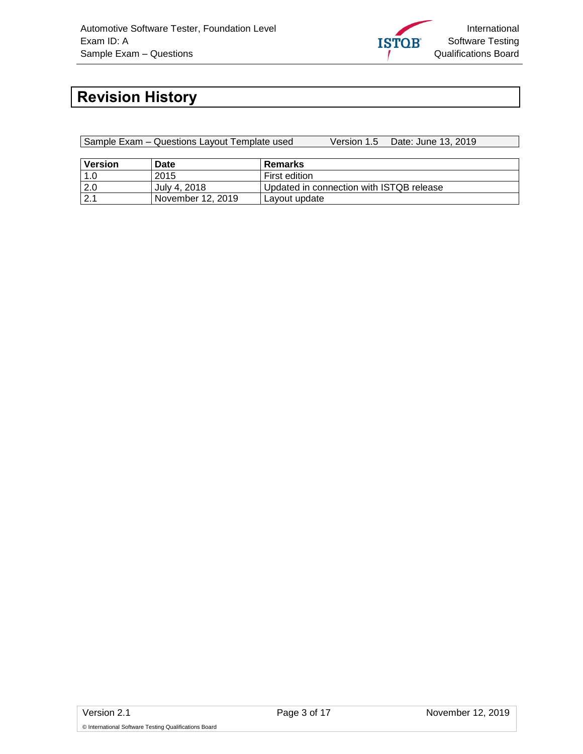

# <span id="page-2-0"></span>**Revision History**

| Sample Exam – Questions Layout Template used |                   |                                          | Version 1.5 Date: June 13, 2019 |  |  |
|----------------------------------------------|-------------------|------------------------------------------|---------------------------------|--|--|
|                                              |                   |                                          |                                 |  |  |
| <b>Version</b>                               | Date              | Remarks                                  |                                 |  |  |
| 1.0                                          | 2015              | First edition                            |                                 |  |  |
| 2.0                                          | July 4, 2018      | Updated in connection with ISTQB release |                                 |  |  |
| 2.1                                          | November 12, 2019 | Layout update                            |                                 |  |  |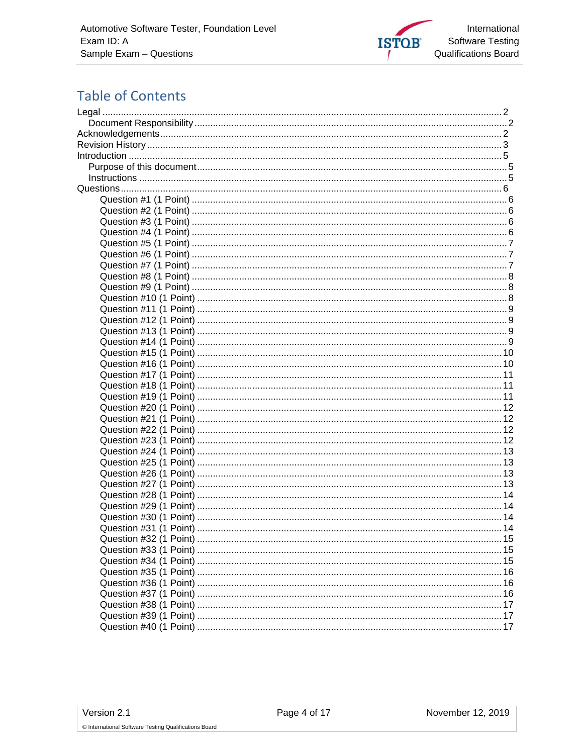

# **Table of Contents**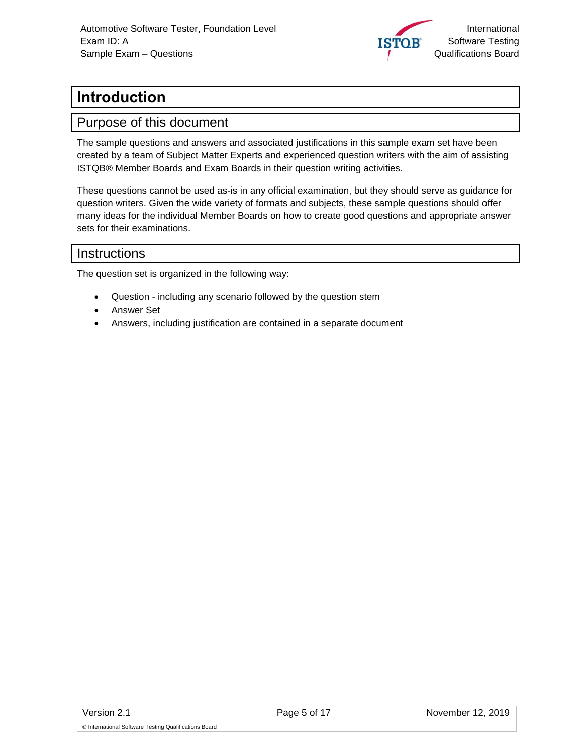

# <span id="page-4-0"></span>**Introduction**

#### <span id="page-4-1"></span>Purpose of this document

The sample questions and answers and associated justifications in this sample exam set have been created by a team of Subject Matter Experts and experienced question writers with the aim of assisting ISTQB® Member Boards and Exam Boards in their question writing activities.

These questions cannot be used as-is in any official examination, but they should serve as guidance for question writers. Given the wide variety of formats and subjects, these sample questions should offer many ideas for the individual Member Boards on how to create good questions and appropriate answer sets for their examinations.

#### <span id="page-4-2"></span>Instructions

The question set is organized in the following way:

- Question including any scenario followed by the question stem
- Answer Set
- Answers, including justification are contained in a separate document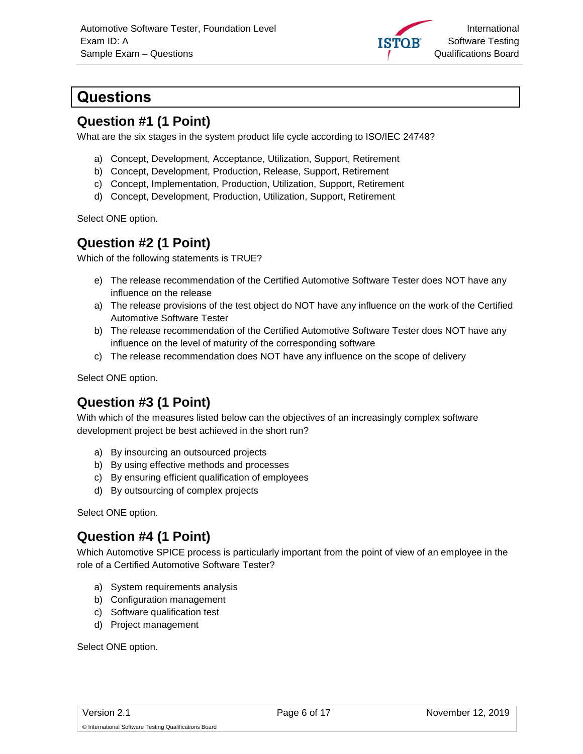

# <span id="page-5-0"></span>**Questions**

#### <span id="page-5-1"></span>**Question #1 (1 Point)**

What are the six stages in the system product life cycle according to ISO/IEC 24748?

- a) Concept, Development, Acceptance, Utilization, Support, Retirement
- b) Concept, Development, Production, Release, Support, Retirement
- c) Concept, Implementation, Production, Utilization, Support, Retirement
- d) Concept, Development, Production, Utilization, Support, Retirement

Select ONE option.

#### <span id="page-5-2"></span>**Question #2 (1 Point)**

Which of the following statements is TRUE?

- e) The release recommendation of the Certified Automotive Software Tester does NOT have any influence on the release
- a) The release provisions of the test object do NOT have any influence on the work of the Certified Automotive Software Tester
- b) The release recommendation of the Certified Automotive Software Tester does NOT have any influence on the level of maturity of the corresponding software
- c) The release recommendation does NOT have any influence on the scope of delivery

Select ONE option.

# <span id="page-5-3"></span>**Question #3 (1 Point)**

With which of the measures listed below can the objectives of an increasingly complex software development project be best achieved in the short run?

- a) By insourcing an outsourced projects
- b) By using effective methods and processes
- c) By ensuring efficient qualification of employees
- d) By outsourcing of complex projects

Select ONE option.

# <span id="page-5-4"></span>**Question #4 (1 Point)**

Which Automotive SPICE process is particularly important from the point of view of an employee in the role of a Certified Automotive Software Tester?

- a) System requirements analysis
- b) Configuration management
- c) Software qualification test
- d) Project management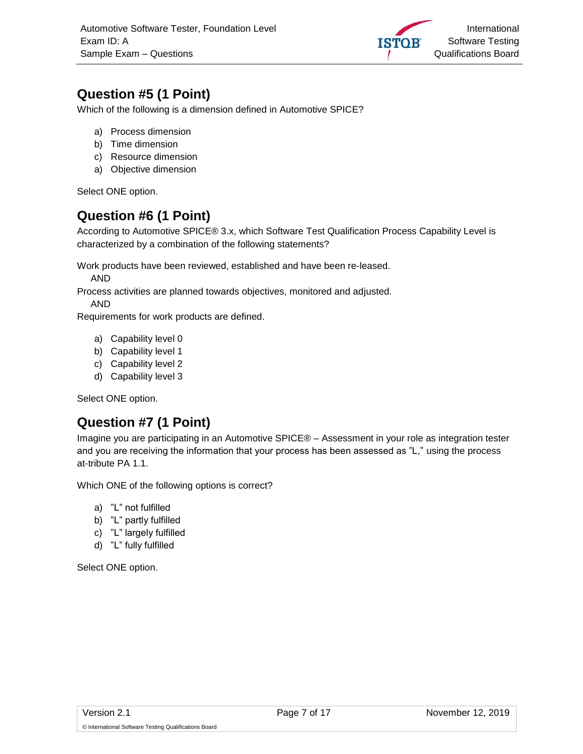

# <span id="page-6-0"></span>**Question #5 (1 Point)**

Which of the following is a dimension defined in Automotive SPICE?

- a) Process dimension
- b) Time dimension
- c) Resource dimension
- a) Objective dimension

Select ONE option.

# <span id="page-6-1"></span>**Question #6 (1 Point)**

According to Automotive SPICE® 3.x, which Software Test Qualification Process Capability Level is characterized by a combination of the following statements?

Work products have been reviewed, established and have been re-leased.

AND

Process activities are planned towards objectives, monitored and adjusted.

AND

Requirements for work products are defined.

- a) Capability level 0
- b) Capability level 1
- c) Capability level 2
- d) Capability level 3

Select ONE option.

#### <span id="page-6-2"></span>**Question #7 (1 Point)**

Imagine you are participating in an Automotive SPICE® – Assessment in your role as integration tester and you are receiving the information that your process has been assessed as "L," using the process at-tribute PA 1.1.

Which ONE of the following options is correct?

- a) "L" not fulfilled
- b) "L" partly fulfilled
- c) "L" largely fulfilled
- d) "L" fully fulfilled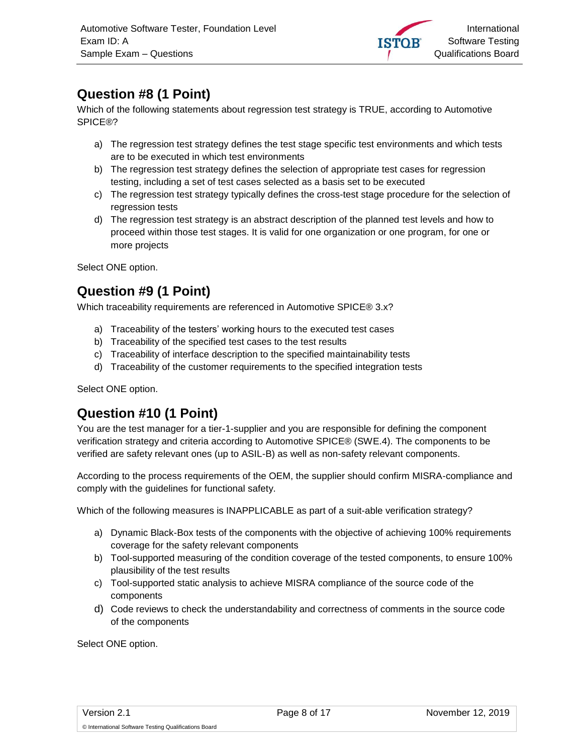

# <span id="page-7-0"></span>**Question #8 (1 Point)**

Which of the following statements about regression test strategy is TRUE, according to Automotive SPICE®?

- a) The regression test strategy defines the test stage specific test environments and which tests are to be executed in which test environments
- b) The regression test strategy defines the selection of appropriate test cases for regression testing, including a set of test cases selected as a basis set to be executed
- c) The regression test strategy typically defines the cross-test stage procedure for the selection of regression tests
- d) The regression test strategy is an abstract description of the planned test levels and how to proceed within those test stages. It is valid for one organization or one program, for one or more projects

Select ONE option.

#### <span id="page-7-1"></span>**Question #9 (1 Point)**

Which traceability requirements are referenced in Automotive SPICE® 3.x?

- a) Traceability of the testers' working hours to the executed test cases
- b) Traceability of the specified test cases to the test results
- c) Traceability of interface description to the specified maintainability tests
- d) Traceability of the customer requirements to the specified integration tests

Select ONE option.

# <span id="page-7-2"></span>**Question #10 (1 Point)**

You are the test manager for a tier-1-supplier and you are responsible for defining the component verification strategy and criteria according to Automotive SPICE® (SWE.4). The components to be verified are safety relevant ones (up to ASIL-B) as well as non-safety relevant components.

According to the process requirements of the OEM, the supplier should confirm MISRA-compliance and comply with the guidelines for functional safety.

Which of the following measures is INAPPLICABLE as part of a suit-able verification strategy?

- a) Dynamic Black-Box tests of the components with the objective of achieving 100% requirements coverage for the safety relevant components
- b) Tool-supported measuring of the condition coverage of the tested components, to ensure 100% plausibility of the test results
- c) Tool-supported static analysis to achieve MISRA compliance of the source code of the components
- d) Code reviews to check the understandability and correctness of comments in the source code of the components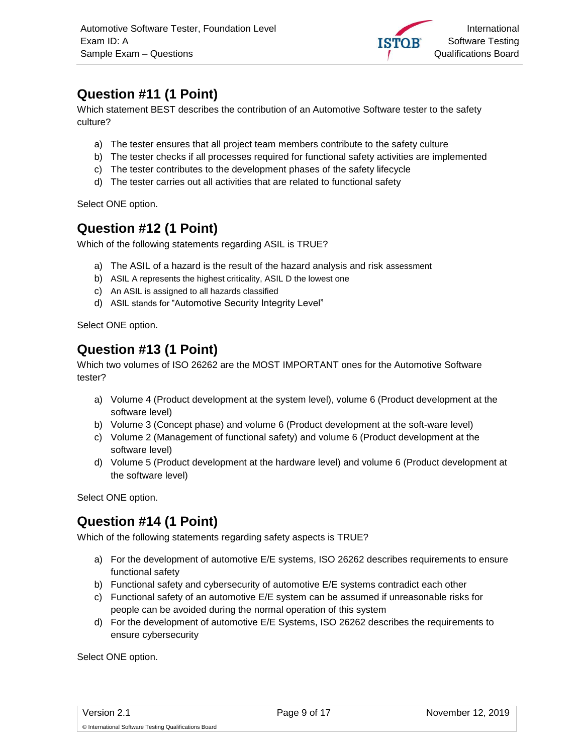

# <span id="page-8-0"></span>**Question #11 (1 Point)**

Which statement BEST describes the contribution of an Automotive Software tester to the safety culture?

- a) The tester ensures that all project team members contribute to the safety culture
- b) The tester checks if all processes required for functional safety activities are implemented
- c) The tester contributes to the development phases of the safety lifecycle
- d) The tester carries out all activities that are related to functional safety

Select ONE option.

#### <span id="page-8-1"></span>**Question #12 (1 Point)**

Which of the following statements regarding ASIL is TRUE?

- a) The ASIL of a hazard is the result of the hazard analysis and risk assessment
- b) ASIL A represents the highest criticality, ASIL D the lowest one
- c) An ASIL is assigned to all hazards classified
- d) ASIL stands for "Automotive Security Integrity Level"

Select ONE option.

#### <span id="page-8-2"></span>**Question #13 (1 Point)**

Which two volumes of ISO 26262 are the MOST IMPORTANT ones for the Automotive Software tester?

- a) Volume 4 (Product development at the system level), volume 6 (Product development at the software level)
- b) Volume 3 (Concept phase) and volume 6 (Product development at the soft-ware level)
- c) Volume 2 (Management of functional safety) and volume 6 (Product development at the software level)
- d) Volume 5 (Product development at the hardware level) and volume 6 (Product development at the software level)

Select ONE option.

# <span id="page-8-3"></span>**Question #14 (1 Point)**

Which of the following statements regarding safety aspects is TRUE?

- a) For the development of automotive E/E systems, ISO 26262 describes requirements to ensure functional safety
- b) Functional safety and cybersecurity of automotive E/E systems contradict each other
- c) Functional safety of an automotive E/E system can be assumed if unreasonable risks for people can be avoided during the normal operation of this system
- d) For the development of automotive E/E Systems, ISO 26262 describes the requirements to ensure cybersecurity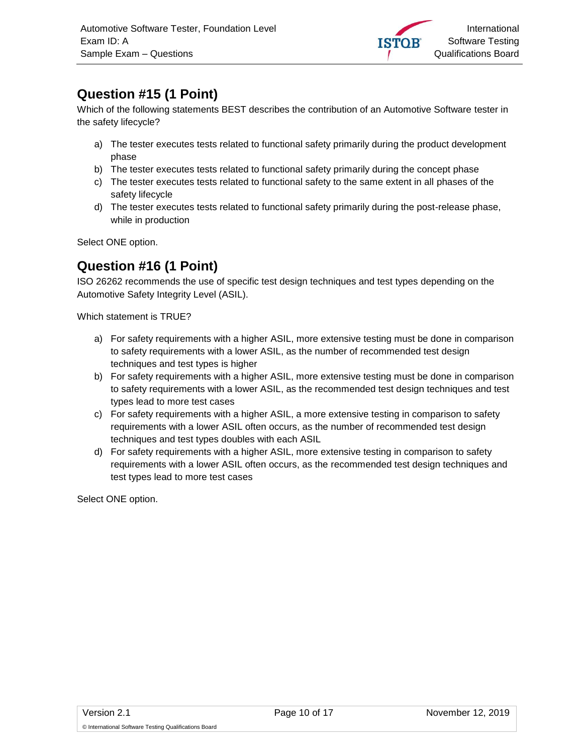

# <span id="page-9-0"></span>**Question #15 (1 Point)**

Which of the following statements BEST describes the contribution of an Automotive Software tester in the safety lifecycle?

- a) The tester executes tests related to functional safety primarily during the product development phase
- b) The tester executes tests related to functional safety primarily during the concept phase
- c) The tester executes tests related to functional safety to the same extent in all phases of the safety lifecycle
- d) The tester executes tests related to functional safety primarily during the post-release phase, while in production

Select ONE option.

#### <span id="page-9-1"></span>**Question #16 (1 Point)**

ISO 26262 recommends the use of specific test design techniques and test types depending on the Automotive Safety Integrity Level (ASIL).

Which statement is TRUE?

- a) For safety requirements with a higher ASIL, more extensive testing must be done in comparison to safety requirements with a lower ASIL, as the number of recommended test design techniques and test types is higher
- b) For safety requirements with a higher ASIL, more extensive testing must be done in comparison to safety requirements with a lower ASIL, as the recommended test design techniques and test types lead to more test cases
- c) For safety requirements with a higher ASIL, a more extensive testing in comparison to safety requirements with a lower ASIL often occurs, as the number of recommended test design techniques and test types doubles with each ASIL
- d) For safety requirements with a higher ASIL, more extensive testing in comparison to safety requirements with a lower ASIL often occurs, as the recommended test design techniques and test types lead to more test cases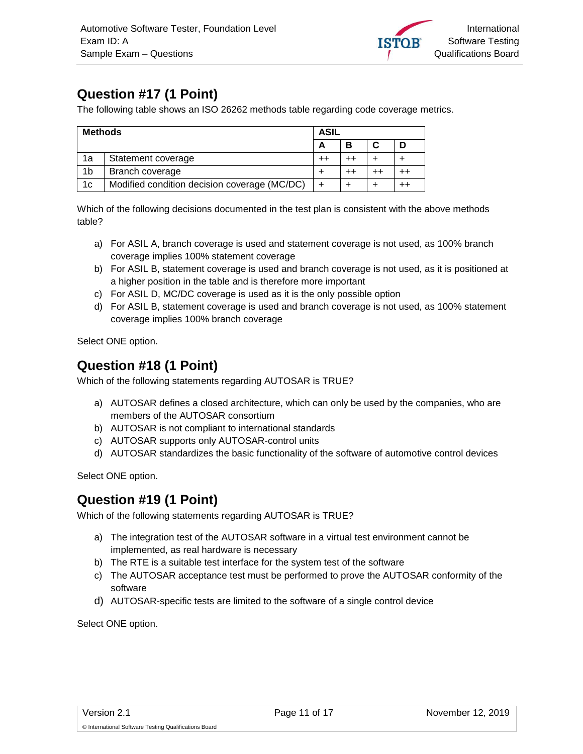

# <span id="page-10-0"></span>**Question #17 (1 Point)**

The following table shows an ISO 26262 methods table regarding code coverage metrics.

| <b>Methods</b> |                                              | ASIL |   |  |             |  |
|----------------|----------------------------------------------|------|---|--|-------------|--|
|                |                                              | А    | В |  |             |  |
| 1a             | Statement coverage                           |      |   |  |             |  |
| 1 <sub>b</sub> | Branch coverage                              |      |   |  | $^{\rm ++}$ |  |
| 1 <sub>c</sub> | Modified condition decision coverage (MC/DC) |      |   |  |             |  |

Which of the following decisions documented in the test plan is consistent with the above methods table?

- a) For ASIL A, branch coverage is used and statement coverage is not used, as 100% branch coverage implies 100% statement coverage
- b) For ASIL B, statement coverage is used and branch coverage is not used, as it is positioned at a higher position in the table and is therefore more important
- c) For ASIL D, MC/DC coverage is used as it is the only possible option
- d) For ASIL B, statement coverage is used and branch coverage is not used, as 100% statement coverage implies 100% branch coverage

Select ONE option.

#### <span id="page-10-1"></span>**Question #18 (1 Point)**

Which of the following statements regarding AUTOSAR is TRUE?

- a) AUTOSAR defines a closed architecture, which can only be used by the companies, who are members of the AUTOSAR consortium
- b) AUTOSAR is not compliant to international standards
- c) AUTOSAR supports only AUTOSAR-control units
- d) AUTOSAR standardizes the basic functionality of the software of automotive control devices

Select ONE option.

#### <span id="page-10-2"></span>**Question #19 (1 Point)**

Which of the following statements regarding AUTOSAR is TRUE?

- a) The integration test of the AUTOSAR software in a virtual test environment cannot be implemented, as real hardware is necessary
- b) The RTE is a suitable test interface for the system test of the software
- c) The AUTOSAR acceptance test must be performed to prove the AUTOSAR conformity of the software
- d) AUTOSAR-specific tests are limited to the software of a single control device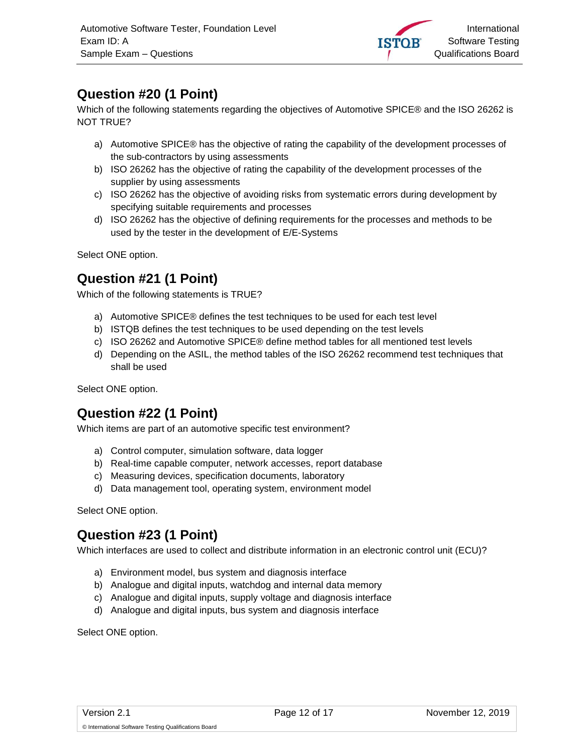

# <span id="page-11-0"></span>**Question #20 (1 Point)**

Which of the following statements regarding the objectives of Automotive SPICE® and the ISO 26262 is NOT TRUE?

- a) Automotive SPICE® has the objective of rating the capability of the development processes of the sub-contractors by using assessments
- b) ISO 26262 has the objective of rating the capability of the development processes of the supplier by using assessments
- c) ISO 26262 has the objective of avoiding risks from systematic errors during development by specifying suitable requirements and processes
- d) ISO 26262 has the objective of defining requirements for the processes and methods to be used by the tester in the development of E/E-Systems

Select ONE option.

# <span id="page-11-1"></span>**Question #21 (1 Point)**

Which of the following statements is TRUE?

- a) Automotive SPICE® defines the test techniques to be used for each test level
- b) ISTQB defines the test techniques to be used depending on the test levels
- c) ISO 26262 and Automotive SPICE® define method tables for all mentioned test levels
- d) Depending on the ASIL, the method tables of the ISO 26262 recommend test techniques that shall be used

Select ONE option.

# <span id="page-11-2"></span>**Question #22 (1 Point)**

Which items are part of an automotive specific test environment?

- a) Control computer, simulation software, data logger
- b) Real-time capable computer, network accesses, report database
- c) Measuring devices, specification documents, laboratory
- d) Data management tool, operating system, environment model

Select ONE option.

# <span id="page-11-3"></span>**Question #23 (1 Point)**

Which interfaces are used to collect and distribute information in an electronic control unit (ECU)?

- a) Environment model, bus system and diagnosis interface
- b) Analogue and digital inputs, watchdog and internal data memory
- c) Analogue and digital inputs, supply voltage and diagnosis interface
- d) Analogue and digital inputs, bus system and diagnosis interface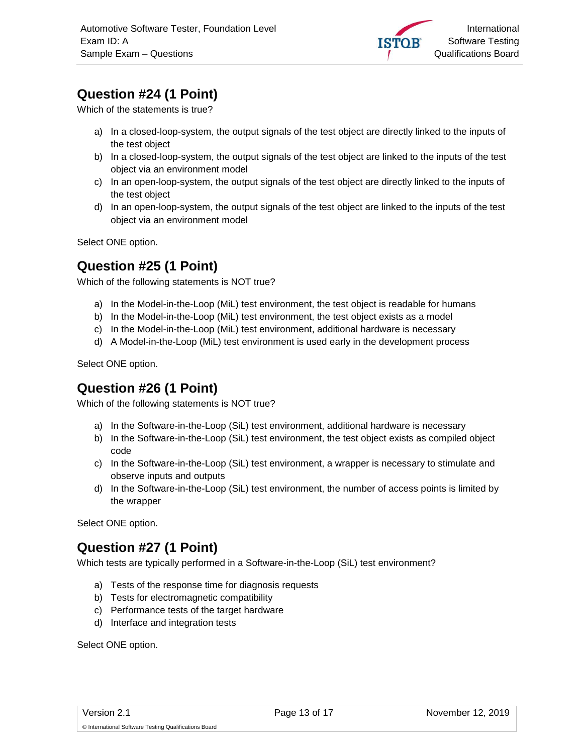

# <span id="page-12-0"></span>**Question #24 (1 Point)**

Which of the statements is true?

- a) In a closed-loop-system, the output signals of the test object are directly linked to the inputs of the test object
- b) In a closed-loop-system, the output signals of the test object are linked to the inputs of the test object via an environment model
- c) In an open-loop-system, the output signals of the test object are directly linked to the inputs of the test object
- d) In an open-loop-system, the output signals of the test object are linked to the inputs of the test object via an environment model

Select ONE option.

#### <span id="page-12-1"></span>**Question #25 (1 Point)**

Which of the following statements is NOT true?

- a) In the Model-in-the-Loop (MiL) test environment, the test object is readable for humans
- b) In the Model-in-the-Loop (MiL) test environment, the test object exists as a model
- c) In the Model-in-the-Loop (MiL) test environment, additional hardware is necessary
- d) A Model-in-the-Loop (MiL) test environment is used early in the development process

Select ONE option.

#### <span id="page-12-2"></span>**Question #26 (1 Point)**

Which of the following statements is NOT true?

- a) In the Software-in-the-Loop (SiL) test environment, additional hardware is necessary
- b) In the Software-in-the-Loop (SiL) test environment, the test object exists as compiled object code
- c) In the Software-in-the-Loop (SiL) test environment, a wrapper is necessary to stimulate and observe inputs and outputs
- d) In the Software-in-the-Loop (SiL) test environment, the number of access points is limited by the wrapper

Select ONE option.

#### <span id="page-12-3"></span>**Question #27 (1 Point)**

Which tests are typically performed in a Software-in-the-Loop (SiL) test environment?

- a) Tests of the response time for diagnosis requests
- b) Tests for electromagnetic compatibility
- c) Performance tests of the target hardware
- d) Interface and integration tests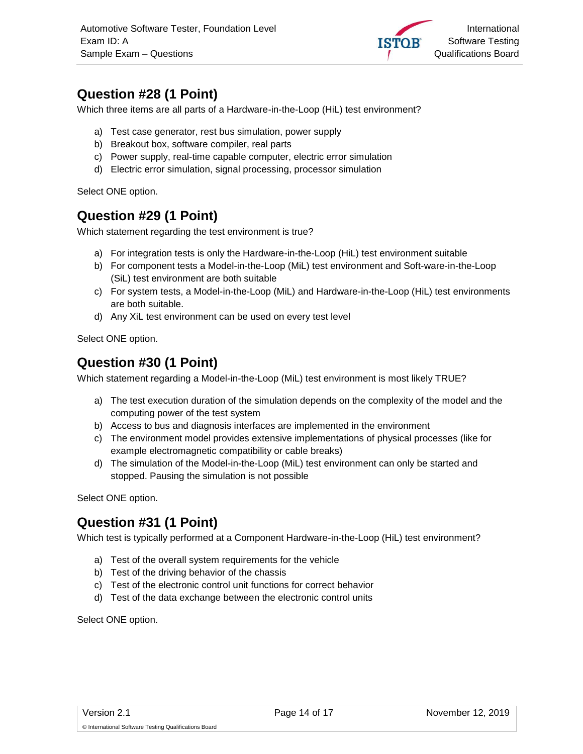

# <span id="page-13-0"></span>**Question #28 (1 Point)**

Which three items are all parts of a Hardware-in-the-Loop (HiL) test environment?

- a) Test case generator, rest bus simulation, power supply
- b) Breakout box, software compiler, real parts
- c) Power supply, real-time capable computer, electric error simulation
- d) Electric error simulation, signal processing, processor simulation

Select ONE option.

#### <span id="page-13-1"></span>**Question #29 (1 Point)**

Which statement regarding the test environment is true?

- a) For integration tests is only the Hardware-in-the-Loop (HiL) test environment suitable
- b) For component tests a Model-in-the-Loop (MiL) test environment and Soft-ware-in-the-Loop (SiL) test environment are both suitable
- c) For system tests, a Model-in-the-Loop (MiL) and Hardware-in-the-Loop (HiL) test environments are both suitable.
- d) Any XiL test environment can be used on every test level

Select ONE option.

#### <span id="page-13-2"></span>**Question #30 (1 Point)**

Which statement regarding a Model-in-the-Loop (MiL) test environment is most likely TRUE?

- a) The test execution duration of the simulation depends on the complexity of the model and the computing power of the test system
- b) Access to bus and diagnosis interfaces are implemented in the environment
- c) The environment model provides extensive implementations of physical processes (like for example electromagnetic compatibility or cable breaks)
- d) The simulation of the Model-in-the-Loop (MiL) test environment can only be started and stopped. Pausing the simulation is not possible

Select ONE option.

#### <span id="page-13-3"></span>**Question #31 (1 Point)**

Which test is typically performed at a Component Hardware-in-the-Loop (HiL) test environment?

- a) Test of the overall system requirements for the vehicle
- b) Test of the driving behavior of the chassis
- c) Test of the electronic control unit functions for correct behavior
- d) Test of the data exchange between the electronic control units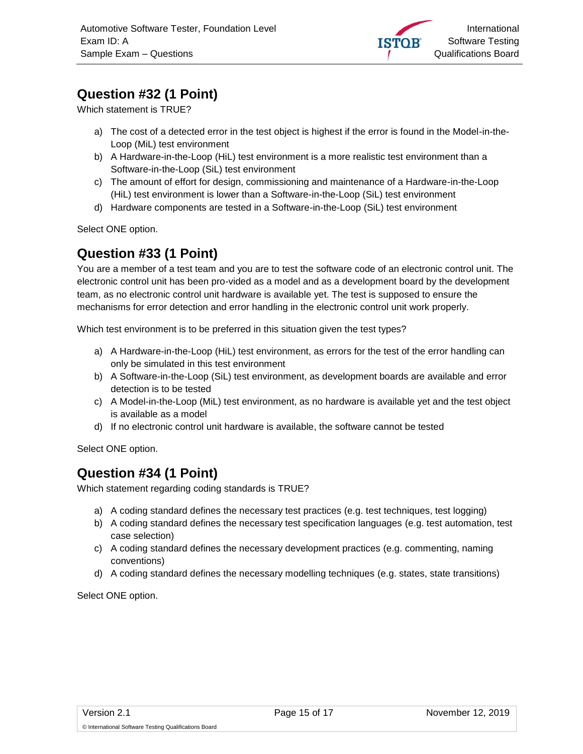

# <span id="page-14-0"></span>**Question #32 (1 Point)**

Which statement is TRUE?

- a) The cost of a detected error in the test object is highest if the error is found in the Model-in-the-Loop (MiL) test environment
- b) A Hardware-in-the-Loop (HiL) test environment is a more realistic test environment than a Software-in-the-Loop (SiL) test environment
- c) The amount of effort for design, commissioning and maintenance of a Hardware-in-the-Loop (HiL) test environment is lower than a Software-in-the-Loop (SiL) test environment
- d) Hardware components are tested in a Software-in-the-Loop (SiL) test environment

Select ONE option.

# <span id="page-14-1"></span>**Question #33 (1 Point)**

You are a member of a test team and you are to test the software code of an electronic control unit. The electronic control unit has been pro-vided as a model and as a development board by the development team, as no electronic control unit hardware is available yet. The test is supposed to ensure the mechanisms for error detection and error handling in the electronic control unit work properly.

Which test environment is to be preferred in this situation given the test types?

- a) A Hardware-in-the-Loop (HiL) test environment, as errors for the test of the error handling can only be simulated in this test environment
- b) A Software-in-the-Loop (SiL) test environment, as development boards are available and error detection is to be tested
- c) A Model-in-the-Loop (MiL) test environment, as no hardware is available yet and the test object is available as a model
- d) If no electronic control unit hardware is available, the software cannot be tested

Select ONE option.

# <span id="page-14-2"></span>**Question #34 (1 Point)**

Which statement regarding coding standards is TRUE?

- a) A coding standard defines the necessary test practices (e.g. test techniques, test logging)
- b) A coding standard defines the necessary test specification languages (e.g. test automation, test case selection)
- c) A coding standard defines the necessary development practices (e.g. commenting, naming conventions)
- d) A coding standard defines the necessary modelling techniques (e.g. states, state transitions)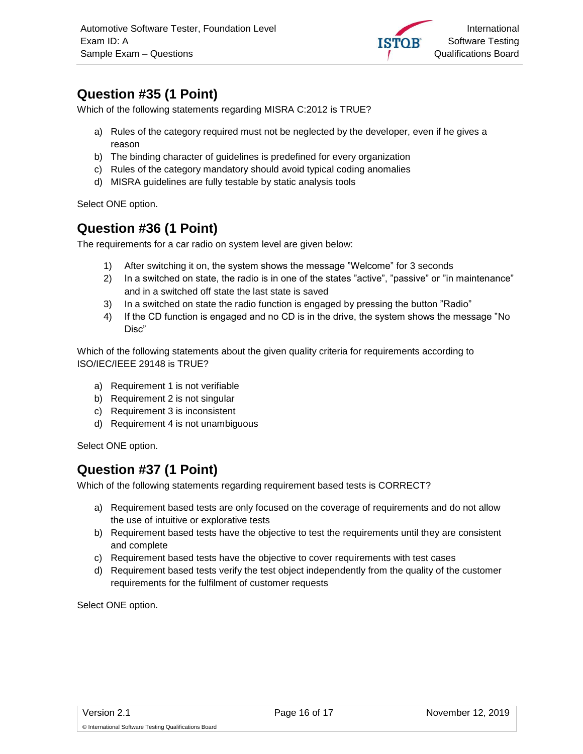

# <span id="page-15-0"></span>**Question #35 (1 Point)**

Which of the following statements regarding MISRA C:2012 is TRUE?

- a) Rules of the category required must not be neglected by the developer, even if he gives a reason
- b) The binding character of guidelines is predefined for every organization
- c) Rules of the category mandatory should avoid typical coding anomalies
- d) MISRA guidelines are fully testable by static analysis tools

Select ONE option.

#### <span id="page-15-1"></span>**Question #36 (1 Point)**

The requirements for a car radio on system level are given below:

- 1) After switching it on, the system shows the message "Welcome" for 3 seconds
- 2) In a switched on state, the radio is in one of the states "active", "passive" or "in maintenance" and in a switched off state the last state is saved
- 3) In a switched on state the radio function is engaged by pressing the button "Radio"
- 4) If the CD function is engaged and no CD is in the drive, the system shows the message "No Disc"

Which of the following statements about the given quality criteria for requirements according to ISO/IEC/IEEE 29148 is TRUE?

- a) Requirement 1 is not verifiable
- b) Requirement 2 is not singular
- c) Requirement 3 is inconsistent
- d) Requirement 4 is not unambiguous

Select ONE option.

#### <span id="page-15-2"></span>**Question #37 (1 Point)**

Which of the following statements regarding requirement based tests is CORRECT?

- a) Requirement based tests are only focused on the coverage of requirements and do not allow the use of intuitive or explorative tests
- b) Requirement based tests have the objective to test the requirements until they are consistent and complete
- c) Requirement based tests have the objective to cover requirements with test cases
- d) Requirement based tests verify the test object independently from the quality of the customer requirements for the fulfilment of customer requests